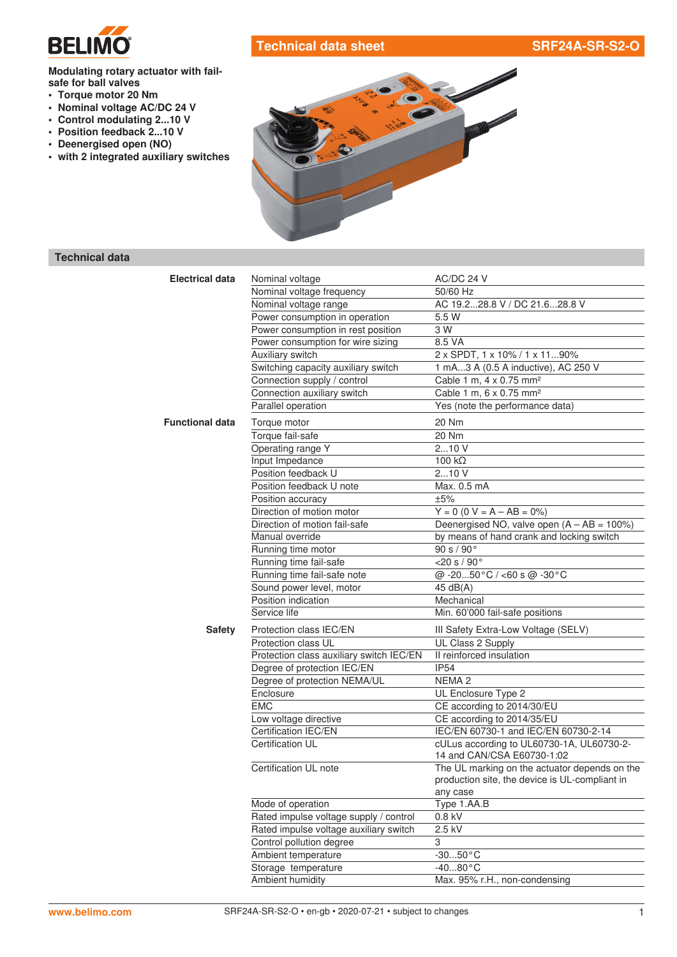

# **Technical data sheet SRF24A-SR-S2-O**

### **Modulating rotary actuator with failsafe for ball valves**

- **• Torque motor 20 Nm**
- **• Nominal voltage AC/DC 24 V**
- **• Control modulating 2...10 V**
- **• Position feedback 2...10 V**
- **• Deenergised open (NO)**
- **• with 2 integrated auxiliary switches**



## **Technical data**

| <b>Electrical data</b> | Nominal voltage                          | AC/DC 24 V                                                 |
|------------------------|------------------------------------------|------------------------------------------------------------|
|                        | Nominal voltage frequency                | 50/60 Hz                                                   |
|                        | Nominal voltage range                    | AC 19.228.8 V / DC 21.628.8 V                              |
|                        | Power consumption in operation           | 5.5 W                                                      |
|                        | Power consumption in rest position       | 3 W                                                        |
|                        | Power consumption for wire sizing        | 8.5 VA                                                     |
|                        | Auxiliary switch                         | 2 x SPDT, 1 x 10% / 1 x 1190%                              |
|                        | Switching capacity auxiliary switch      | 1 mA3 A (0.5 A inductive), AC 250 V                        |
|                        | Connection supply / control              | Cable 1 m, 4 x 0.75 mm <sup>2</sup>                        |
|                        | Connection auxiliary switch              | Cable 1 m, 6 x 0.75 mm <sup>2</sup>                        |
|                        | Parallel operation                       | Yes (note the performance data)                            |
| <b>Functional data</b> | Torque motor                             | 20 Nm                                                      |
|                        | Torque fail-safe                         | 20 Nm                                                      |
|                        | Operating range Y                        | 210V                                                       |
|                        | Input Impedance                          | 100 $k\Omega$                                              |
|                        | Position feedback U                      | 210V                                                       |
|                        | Position feedback U note                 | Max. 0.5 mA                                                |
|                        | Position accuracy                        | ±5%                                                        |
|                        | Direction of motion motor                | $Y = 0$ (0 V = A - AB = 0%)                                |
|                        | Direction of motion fail-safe            | Deenergised NO, valve open $(A - AB = 100\%)$              |
|                        | Manual override                          | by means of hand crank and locking switch                  |
|                        | Running time motor                       | 90 s / 90°                                                 |
|                        | Running time fail-safe                   | $<$ 20 s / 90 $^{\circ}$                                   |
|                        | Running time fail-safe note              | @ -2050°C / <60 s @ -30°C                                  |
|                        | Sound power level, motor                 | 45 $dB(A)$                                                 |
|                        | Position indication                      | Mechanical                                                 |
|                        | Service life                             | Min. 60'000 fail-safe positions                            |
| <b>Safety</b>          | Protection class IEC/EN                  | III Safety Extra-Low Voltage (SELV)                        |
|                        | Protection class UL                      | UL Class 2 Supply                                          |
|                        | Protection class auxiliary switch IEC/EN | Il reinforced insulation                                   |
|                        | Degree of protection IEC/EN              | <b>IP54</b>                                                |
|                        | Degree of protection NEMA/UL             | NEMA <sub>2</sub>                                          |
|                        | Enclosure                                | UL Enclosure Type 2                                        |
|                        | <b>EMC</b>                               | CE according to 2014/30/EU                                 |
|                        | Low voltage directive                    | CE according to 2014/35/EU                                 |
|                        | Certification IEC/EN                     | IEC/EN 60730-1 and IEC/EN 60730-2-14                       |
|                        | Certification UL                         | cULus according to UL60730-1A, UL60730-2-                  |
|                        |                                          | 14 and CAN/CSA E60730-1:02                                 |
|                        | Certification UL note                    | The UL marking on the actuator depends on the              |
|                        |                                          | production site, the device is UL-compliant in<br>any case |
|                        | Mode of operation                        | Type 1.AA.B                                                |
|                        | Rated impulse voltage supply / control   | $0.8$ kV                                                   |
|                        | Rated impulse voltage auxiliary switch   | 2.5 kV                                                     |
|                        | Control pollution degree                 | 3                                                          |
|                        | Ambient temperature                      | $-3050$ °C                                                 |
|                        | Storage temperature                      | $-4080$ °C                                                 |
|                        | Ambient humidity                         | Max. 95% r.H., non-condensing                              |
|                        |                                          |                                                            |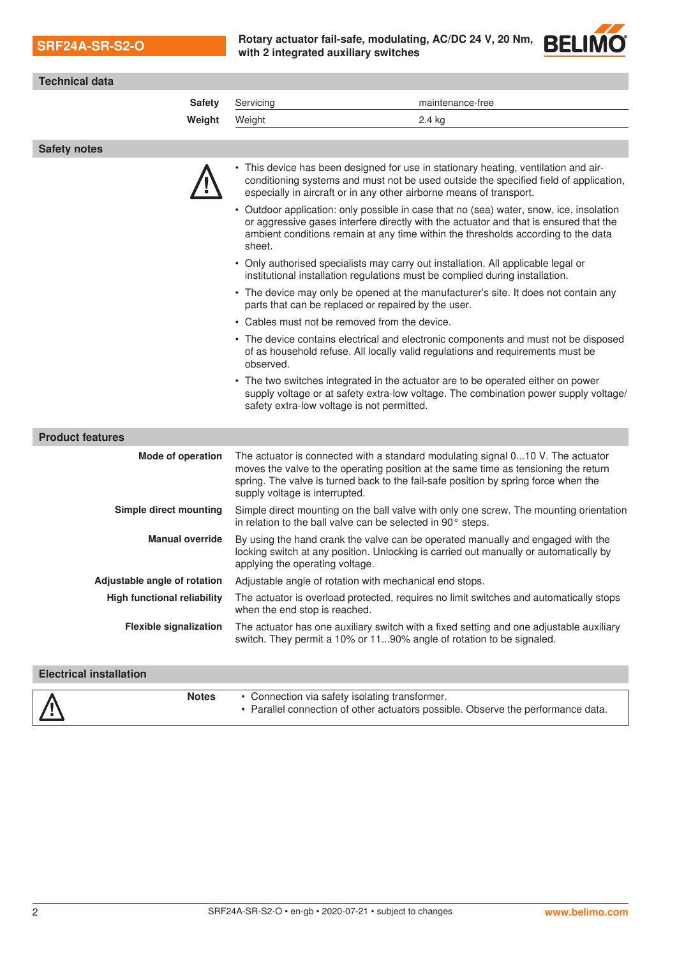| <b>SRF24A-SR-S2-O</b> |  |  |
|-----------------------|--|--|
|                       |  |  |

**SRF24A-SR-S2-O Rotary actuator fail-safe, modulating, AC/DC <sup>24</sup> V, 20 Nm, with 2 integrated auxiliary switches**



| <b>Technical data</b>              |                                 |                                                                                                                                                                                                                                                                       |
|------------------------------------|---------------------------------|-----------------------------------------------------------------------------------------------------------------------------------------------------------------------------------------------------------------------------------------------------------------------|
| <b>Safety</b>                      | Servicing                       | maintenance-free                                                                                                                                                                                                                                                      |
| Weight                             | Weight                          | 2.4 kg                                                                                                                                                                                                                                                                |
|                                    |                                 |                                                                                                                                                                                                                                                                       |
| <b>Safety notes</b>                |                                 |                                                                                                                                                                                                                                                                       |
|                                    |                                 | This device has been designed for use in stationary heating, ventilation and air-<br>conditioning systems and must not be used outside the specified field of application,<br>especially in aircraft or in any other airborne means of transport.                     |
|                                    | sheet.                          | • Outdoor application: only possible in case that no (sea) water, snow, ice, insolation<br>or aggressive gases interfere directly with the actuator and that is ensured that the<br>ambient conditions remain at any time within the thresholds according to the data |
|                                    |                                 | • Only authorised specialists may carry out installation. All applicable legal or<br>institutional installation regulations must be complied during installation.                                                                                                     |
|                                    |                                 | • The device may only be opened at the manufacturer's site. It does not contain any<br>parts that can be replaced or repaired by the user.                                                                                                                            |
|                                    |                                 | • Cables must not be removed from the device.                                                                                                                                                                                                                         |
|                                    | observed.                       | • The device contains electrical and electronic components and must not be disposed<br>of as household refuse. All locally valid regulations and requirements must be                                                                                                 |
|                                    |                                 | • The two switches integrated in the actuator are to be operated either on power<br>supply voltage or at safety extra-low voltage. The combination power supply voltage/<br>safety extra-low voltage is not permitted.                                                |
| <b>Product features</b>            |                                 |                                                                                                                                                                                                                                                                       |
| <b>Mode of operation</b>           | supply voltage is interrupted.  | The actuator is connected with a standard modulating signal 010 V. The actuator<br>moves the valve to the operating position at the same time as tensioning the return<br>spring. The valve is turned back to the fail-safe position by spring force when the         |
| Simple direct mounting             |                                 | Simple direct mounting on the ball valve with only one screw. The mounting orientation<br>in relation to the ball valve can be selected in 90° steps.                                                                                                                 |
| <b>Manual override</b>             | applying the operating voltage. | By using the hand crank the valve can be operated manually and engaged with the<br>locking switch at any position. Unlocking is carried out manually or automatically by                                                                                              |
| Adjustable angle of rotation       |                                 | Adjustable angle of rotation with mechanical end stops                                                                                                                                                                                                                |
| <b>High functional reliability</b> | when the end stop is reached.   | The actuator is overload protected, requires no limit switches and automatically stops                                                                                                                                                                                |
| <b>Flexible signalization</b>      |                                 | The actuator has one auxiliary switch with a fixed setting and one adjustable auxiliary<br>switch. They permit a 10% or 1190% angle of rotation to be signaled.                                                                                                       |
| <b>Electrical installation</b>     |                                 |                                                                                                                                                                                                                                                                       |
|                                    |                                 |                                                                                                                                                                                                                                                                       |

| <b>Notes</b> | • Connection via safety isolating transformer.                                   |
|--------------|----------------------------------------------------------------------------------|
| $\sqrt{11}$  | • Parallel connection of other actuators possible. Observe the performance data. |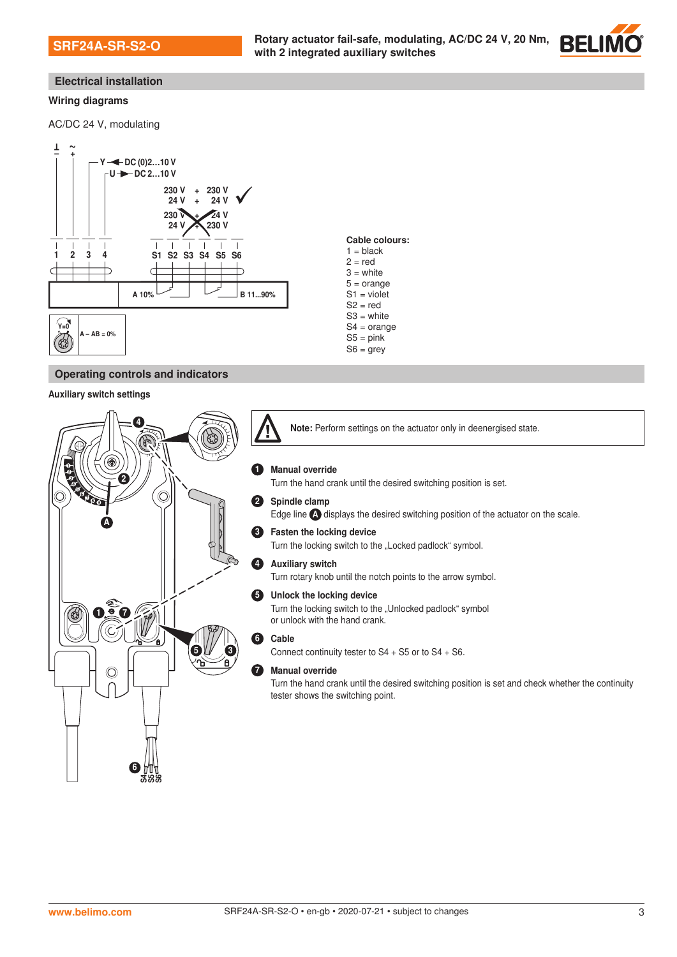

### **Electrical installation**

#### **Wiring diagrams**

AC/DC 24 V, modulating



### **Operating controls and indicators**

#### Auxiliary switch settings